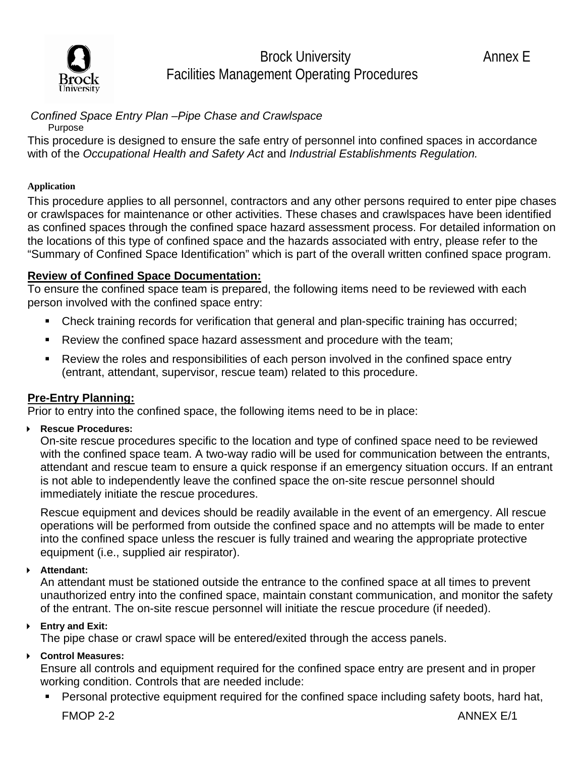

Brock University **Annex E** Facilities Management Operating Procedures

## *Confined Space Entry Plan –Pipe Chase and Crawlspace*

Purpose

This procedure is designed to ensure the safe entry of personnel into confined spaces in accordance with of the *Occupational Health and Safety Act* and *Industrial Establishments Regulation.* 

#### **Application**

This procedure applies to all personnel, contractors and any other persons required to enter pipe chases or crawlspaces for maintenance or other activities. These chases and crawlspaces have been identified as confined spaces through the confined space hazard assessment process. For detailed information on the locations of this type of confined space and the hazards associated with entry, please refer to the "Summary of Confined Space Identification" which is part of the overall written confined space program.

#### **Review of Confined Space Documentation:**

To ensure the confined space team is prepared, the following items need to be reviewed with each person involved with the confined space entry:

- Check training records for verification that general and plan-specific training has occurred;
- Review the confined space hazard assessment and procedure with the team;
- Review the roles and responsibilities of each person involved in the confined space entry (entrant, attendant, supervisor, rescue team) related to this procedure.

#### **Pre-Entry Planning:**

Prior to entry into the confined space, the following items need to be in place:

**Rescue Procedures:** 

On-site rescue procedures specific to the location and type of confined space need to be reviewed with the confined space team. A two-way radio will be used for communication between the entrants, attendant and rescue team to ensure a quick response if an emergency situation occurs. If an entrant is not able to independently leave the confined space the on-site rescue personnel should immediately initiate the rescue procedures.

Rescue equipment and devices should be readily available in the event of an emergency. All rescue operations will be performed from outside the confined space and no attempts will be made to enter into the confined space unless the rescuer is fully trained and wearing the appropriate protective equipment (i.e., supplied air respirator).

**Attendant:** 

An attendant must be stationed outside the entrance to the confined space at all times to prevent unauthorized entry into the confined space, maintain constant communication, and monitor the safety of the entrant. The on-site rescue personnel will initiate the rescue procedure (if needed).

#### **Entry and Exit:**

The pipe chase or crawl space will be entered/exited through the access panels.

#### **Control Measures:**

Ensure all controls and equipment required for the confined space entry are present and in proper working condition. Controls that are needed include:

Personal protective equipment required for the confined space including safety boots, hard hat,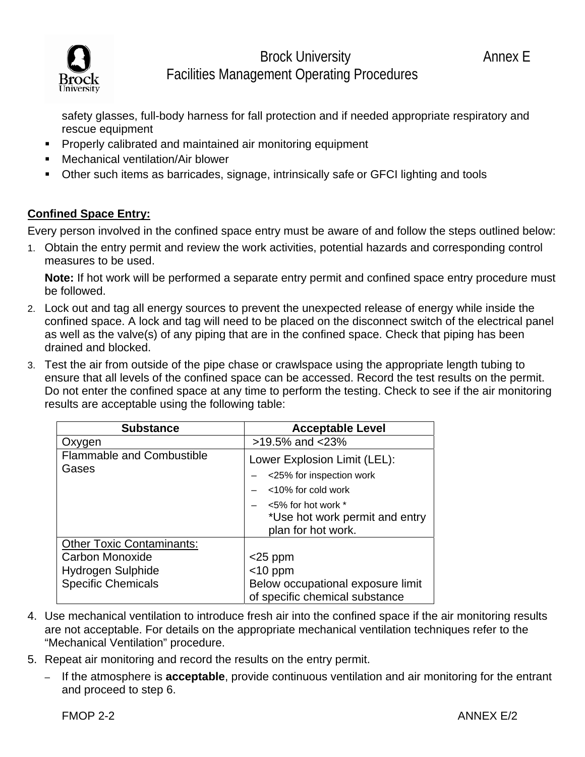



## Brock University **Annex E** Facilities Management Operating Procedures

safety glasses, full-body harness for fall protection and if needed appropriate respiratory and rescue equipment

- **Properly calibrated and maintained air monitoring equipment**
- **EXEC** Mechanical ventilation/Air blower
- Other such items as barricades, signage, intrinsically safe or GFCI lighting and tools

### **Confined Space Entry:**

Every person involved in the confined space entry must be aware of and follow the steps outlined below:

1. Obtain the entry permit and review the work activities, potential hazards and corresponding control measures to be used.

 **Note:** If hot work will be performed a separate entry permit and confined space entry procedure must be followed.

- 2. Lock out and tag all energy sources to prevent the unexpected release of energy while inside the confined space. A lock and tag will need to be placed on the disconnect switch of the electrical panel as well as the valve(s) of any piping that are in the confined space. Check that piping has been drained and blocked.
- 3. Test the air from outside of the pipe chase or crawlspace using the appropriate length tubing to ensure that all levels of the confined space can be accessed. Record the test results on the permit. Do not enter the confined space at any time to perform the testing. Check to see if the air monitoring results are acceptable using the following table:

| <b>Substance</b>                          | <b>Acceptable Level</b>                                                         |
|-------------------------------------------|---------------------------------------------------------------------------------|
| Oxygen                                    | >19.5% and <23%                                                                 |
| <b>Flammable and Combustible</b><br>Gases | Lower Explosion Limit (LEL):<br><25% for inspection work<br><10% for cold work  |
|                                           | $<$ 5% for hot work $*$<br>*Use hot work permit and entry<br>plan for hot work. |
| <b>Other Toxic Contaminants:</b>          |                                                                                 |
| Carbon Monoxide                           | $<$ 25 ppm                                                                      |
| Hydrogen Sulphide                         | $<$ 10 ppm                                                                      |
| <b>Specific Chemicals</b>                 | Below occupational exposure limit<br>of specific chemical substance             |

- 4. Use mechanical ventilation to introduce fresh air into the confined space if the air monitoring results are not acceptable. For details on the appropriate mechanical ventilation techniques refer to the "Mechanical Ventilation" procedure.
- 5. Repeat air monitoring and record the results on the entry permit.
	- If the atmosphere is **acceptable**, provide continuous ventilation and air monitoring for the entrant and proceed to step 6.